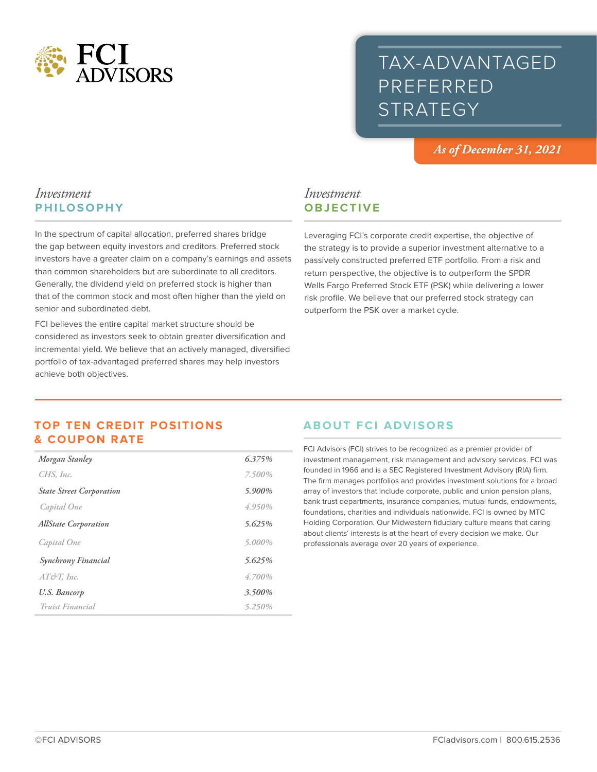

# TAX-ADVANTAGED PREFERRED **STRATEGY**

*As of December 31, 2021*

## *Investment* **PHILOSOPHY**

In the spectrum of capital allocation, preferred shares bridge the gap between equity investors and creditors. Preferred stock investors have a greater claim on a company's earnings and assets than common shareholders but are subordinate to all creditors. Generally, the dividend yield on preferred stock is higher than that of the common stock and most often higher than the yield on senior and subordinated debt.

FCI believes the entire capital market structure should be considered as investors seek to obtain greater diversification and incremental yield. We believe that an actively managed, diversified portfolio of tax-advantaged preferred shares may help investors achieve both objectives.

# *Investment* **OBJECTIVE**

Leveraging FCI's corporate credit expertise, the objective of the strategy is to provide a superior investment alternative to a passively constructed preferred ETF portfolio. From a risk and return perspective, the objective is to outperform the SPDR Wells Fargo Preferred Stock ETF (PSK) while delivering a lower risk profile. We believe that our preferred stock strategy can outperform the PSK over a market cycle.

### **TOP TEN CREDIT POSITIONS & COUPON RATE**

| Morgan Stanley                  | 6.375% |
|---------------------------------|--------|
| CHS, Inc.                       | 7.500% |
| <b>State Street Corporation</b> | 5.900% |
| Capital One                     | 4.950% |
| <b>AllState Corporation</b>     | 5.625% |
| Capital One                     | 5.000% |
| Synchrony Financial             | 5.625% |
| $AT\phi T$ , Inc.               | 4.700% |
| U.S. Bancorp                    | 3.500% |
| Truist Financial                | 5.250% |

## **ABOUT FCI ADVISORS**

FCI Advisors (FCI) strives to be recognized as a premier provider of investment management, risk management and advisory services. FCI was founded in 1966 and is a SEC Registered Investment Advisory (RIA) firm. The firm manages portfolios and provides investment solutions for a broad array of investors that include corporate, public and union pension plans, bank trust departments, insurance companies, mutual funds, endowments, foundations, charities and individuals nationwide. FCI is owned by MTC Holding Corporation. Our Midwestern fiduciary culture means that caring about clients' interests is at the heart of every decision we make. Our professionals average over 20 years of experience.